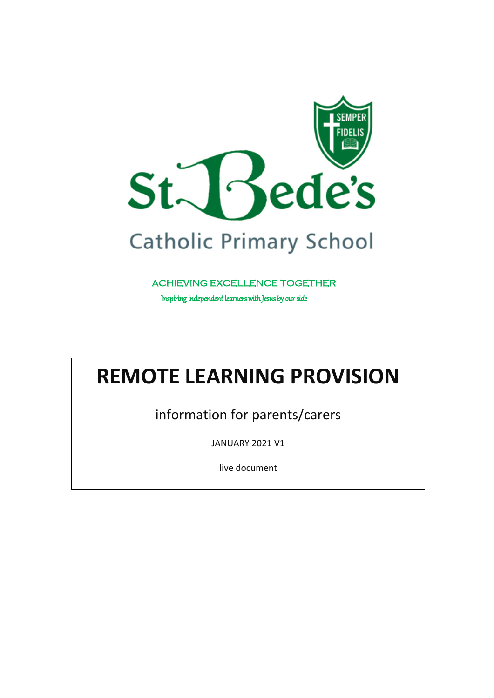

ACHIEVING EXCELLENCE TOGETHER

Inspiring independent learners with Jesus by our side

# **REMOTE LEARNING PROVISION**

information for parents/carers

JANUARY 2021 V1

live document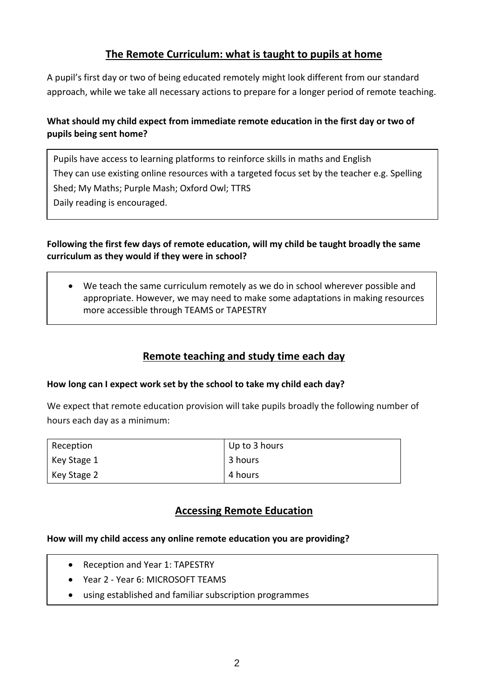## **The Remote Curriculum: what is taught to pupils at home**

A pupil's first day or two of being educated remotely might look different from our standard approach, while we take all necessary actions to prepare for a longer period of remote teaching.

## **What should my child expect from immediate remote education in the first day or two of pupils being sent home?**

Pupils have access to learning platforms to reinforce skills in maths and English They can use existing online resources with a targeted focus set by the teacher e.g. Spelling Shed; My Maths; Purple Mash; Oxford Owl; TTRS Daily reading is encouraged.

#### **Following the first few days of remote education, will my child be taught broadly the same curriculum as they would if they were in school?**

 We teach the same curriculum remotely as we do in school wherever possible and appropriate. However, we may need to make some adaptations in making resources more accessible through TEAMS or TAPESTRY

## **Remote teaching and study time each day**

#### **How long can I expect work set by the school to take my child each day?**

We expect that remote education provision will take pupils broadly the following number of hours each day as a minimum:

| Reception   | Up to 3 hours |
|-------------|---------------|
| Key Stage 1 | 3 hours       |
| Key Stage 2 | 4 hours       |

## **Accessing Remote Education**

#### **How will my child access any online remote education you are providing?**

- Reception and Year 1: TAPESTRY
- Year 2 Year 6: MICROSOFT TEAMS
- using established and familiar subscription programmes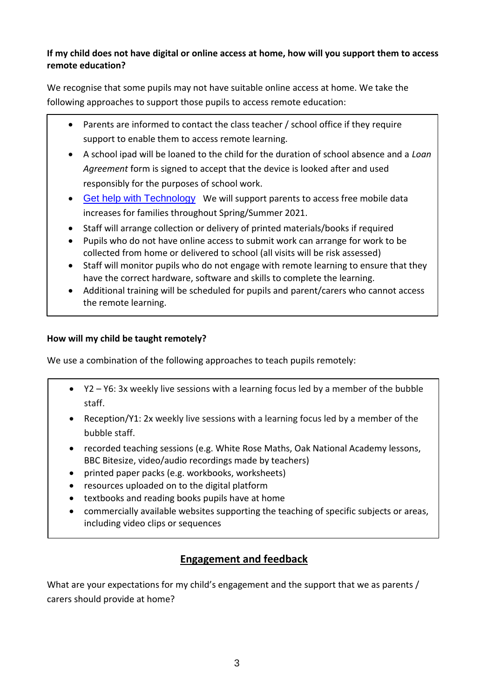#### **If my child does not have digital or online access at home, how will you support them to access remote education?**

We recognise that some pupils may not have suitable online access at home. We take the following approaches to support those pupils to access remote education:

- Parents are informed to contact the class teacher / school office if they require support to enable them to access remote learning.
- A school ipad will be loaned to the child for the duration of school absence and a *Loan Agreement* form is signed to accept that the device is looked after and used responsibly for the purposes of school work.
- [Get help with Technology](https://get-help-with-tech.education.gov.uk/) We will support parents to access free mobile data increases for families throughout Spring/Summer 2021.
- Staff will arrange collection or delivery of printed materials/books if required
- Pupils who do not have online access to submit work can arrange for work to be collected from home or delivered to school (all visits will be risk assessed)
- Staff will monitor pupils who do not engage with remote learning to ensure that they have the correct hardware, software and skills to complete the learning.
- Additional training will be scheduled for pupils and parent/carers who cannot access the remote learning.

## **How will my child be taught remotely?**

We use a combination of the following approaches to teach pupils remotely:

- Y2 Y6: 3x weekly live sessions with a learning focus led by a member of the bubble staff.
- Reception/Y1: 2x weekly live sessions with a learning focus led by a member of the bubble staff.
- recorded teaching sessions (e.g. White Rose Maths, Oak National Academy lessons, BBC Bitesize, video/audio recordings made by teachers)
- printed paper packs (e.g. workbooks, worksheets)
- resources uploaded on to the digital platform
- textbooks and reading books pupils have at home
- commercially available websites supporting the teaching of specific subjects or areas, including video clips or sequences

# **Engagement and feedback**

What are your expectations for my child's engagement and the support that we as parents / carers should provide at home?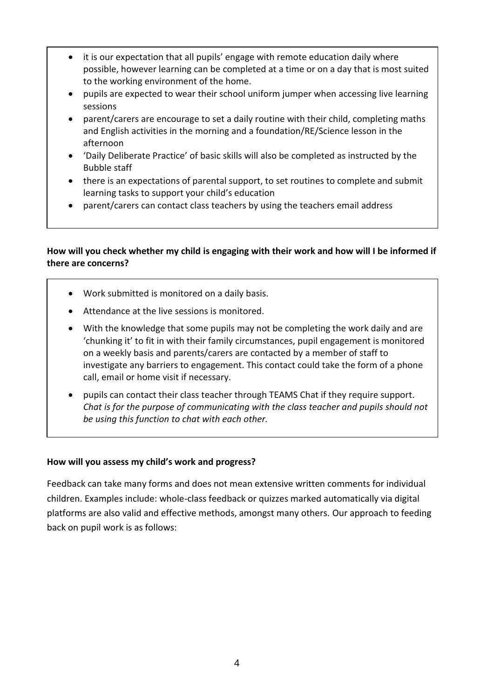- it is our expectation that all pupils' engage with remote education daily where possible, however learning can be completed at a time or on a day that is most suited to the working environment of the home.
- pupils are expected to wear their school uniform jumper when accessing live learning sessions
- parent/carers are encourage to set a daily routine with their child, completing maths and English activities in the morning and a foundation/RE/Science lesson in the afternoon
- 'Daily Deliberate Practice' of basic skills will also be completed as instructed by the Bubble staff
- there is an expectations of parental support, to set routines to complete and submit learning tasks to support your child's education
- parent/carers can contact class teachers by using the teachers email address

#### **How will you check whether my child is engaging with their work and how will I be informed if there are concerns?**

- Work submitted is monitored on a daily basis.
- Attendance at the live sessions is monitored.
- With the knowledge that some pupils may not be completing the work daily and are 'chunking it' to fit in with their family circumstances, pupil engagement is monitored on a weekly basis and parents/carers are contacted by a member of staff to investigate any barriers to engagement. This contact could take the form of a phone call, email or home visit if necessary.
- pupils can contact their class teacher through TEAMS Chat if they require support. *Chat is for the purpose of communicating with the class teacher and pupils should not be using this function to chat with each other.*

#### **How will you assess my child's work and progress?**

Feedback can take many forms and does not mean extensive written comments for individual children. Examples include: whole-class feedback or quizzes marked automatically via digital platforms are also valid and effective methods, amongst many others. Our approach to feeding back on pupil work is as follows: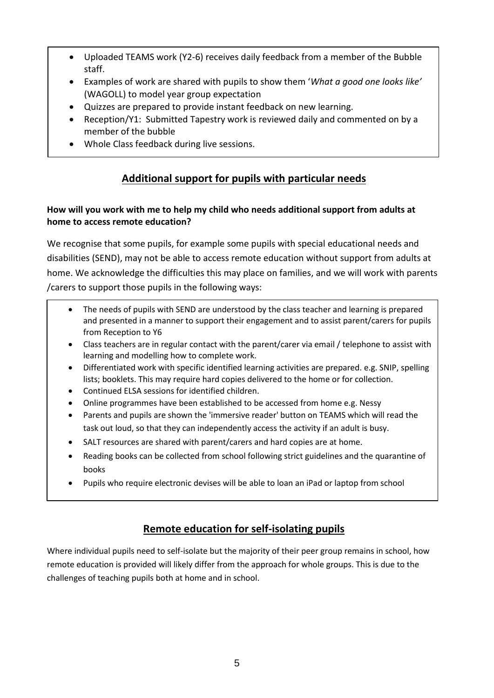- Uploaded TEAMS work (Y2-6) receives daily feedback from a member of the Bubble staff.
- Examples of work are shared with pupils to show them '*What a good one looks like'* (WAGOLL) to model year group expectation
- Quizzes are prepared to provide instant feedback on new learning.
- Reception/Y1: Submitted Tapestry work is reviewed daily and commented on by a member of the bubble
- Whole Class feedback during live sessions.

# **Additional support for pupils with particular needs**

## **How will you work with me to help my child who needs additional support from adults at home to access remote education?**

We recognise that some pupils, for example some pupils with special educational needs and disabilities (SEND), may not be able to access remote education without support from adults at home. We acknowledge the difficulties this may place on families, and we will work with parents /carers to support those pupils in the following ways:

- The needs of pupils with SEND are understood by the class teacher and learning is prepared and presented in a manner to support their engagement and to assist parent/carers for pupils from Reception to Y6
- Class teachers are in regular contact with the parent/carer via email / telephone to assist with learning and modelling how to complete work.
- Differentiated work with specific identified learning activities are prepared. e.g. SNIP, spelling lists; booklets. This may require hard copies delivered to the home or for collection.
- Continued ELSA sessions for identified children.
- Online programmes have been established to be accessed from home e.g. Nessy
- Parents and pupils are shown the 'immersive reader' button on TEAMS which will read the task out loud, so that they can independently access the activity if an adult is busy.
- SALT resources are shared with parent/carers and hard copies are at home.
- Reading books can be collected from school following strict guidelines and the quarantine of books
- Pupils who require electronic devises will be able to loan an iPad or laptop from school

# **Remote education for self-isolating pupils**

Where individual pupils need to self-isolate but the majority of their peer group remains in school, how remote education is provided will likely differ from the approach for whole groups. This is due to the challenges of teaching pupils both at home and in school.